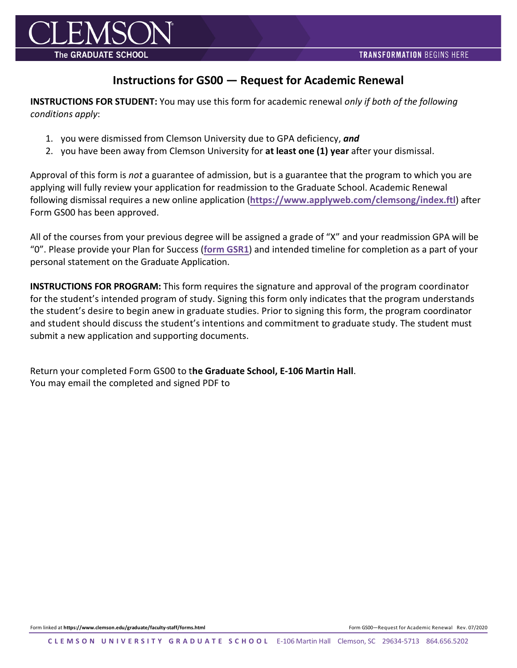

## **Instructions for GS00 — Request for Academic Renewal**

**INSTRUCTIONS FOR STUDENT:** You may use this form for academic renewal *only if both of the following conditions apply*:

- 1. you were dismissed from Clemson University due to GPA deficiency, *and*
- 2. you have been away from Clemson University for **at least one (1) year** after your dismissal.

Approval of this form is *not* a guarantee of admission, but is a guarantee that the program to which you are applying will fully review your application for readmission to the Graduate School. Academic Renewal following dismissal requires a new online application (**<https://www.applyweb.com/clemsong/index.ftl>**) after Form GS00 has been approved.

All of the courses from your previous degree will be assigned a grade of "X" and your readmission GPA will be "0". Please provide your Plan for Success (**form [GSR1](https://www.clemson.edu/graduate/files/pdfs/GSR1.pdf)**) and intended timeline for completion as a part of your personal statement on the Graduate Application.

**INSTRUCTIONS FOR PROGRAM:** This form requires the signature and approval of the program coordinator for the student's intended program of study. Signing this form only indicates that the program understands the student's desire to begin anew in graduate studies. Prior to signing this form, the program coordinator and student should discuss the student's intentions and commitment to graduate study. The student must submit a new application and supporting documents.

Return your completed Form GS00 to t**he Graduate School, E-106 Martin Hall**. You may email the completed and signed PDF to